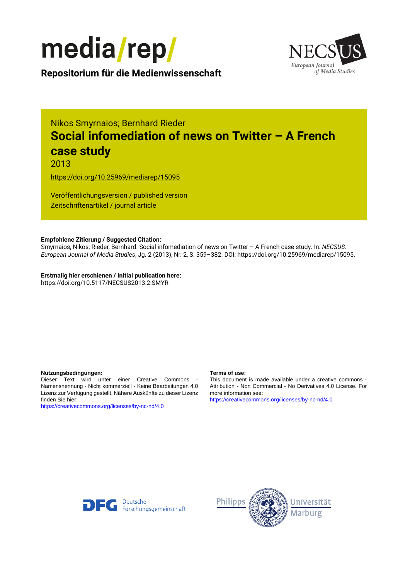



**Repositorium für die [Medienwissenschaft](https://mediarep.org)**

# Nikos Smyrnaios; Bernhard Rieder **Social infomediation of news on Twitter – A French case study**

2013

<https://doi.org/10.25969/mediarep/15095>

Veröffentlichungsversion / published version Zeitschriftenartikel / journal article

### **Empfohlene Zitierung / Suggested Citation:**

Smyrnaios, Nikos; Rieder, Bernhard: Social infomediation of news on Twitter – A French case study. In: *NECSUS. European Journal of Media Studies*, Jg. 2 (2013), Nr. 2, S. 359–382. DOI: https://doi.org/10.25969/mediarep/15095.

**Erstmalig hier erschienen / Initial publication here:** https://doi.org/10.5117/NECSUS2013.2.SMYR

#### **Nutzungsbedingungen: Terms of use:**

Dieser Text wird unter einer Creative Commons - Namensnennung - Nicht kommerziell - Keine Bearbeitungen 4.0 Lizenz zur Verfügung gestellt. Nähere Auskünfte zu dieser Lizenz finden Sie hier:

<https://creativecommons.org/licenses/by-nc-nd/4.0>

This document is made available under a creative commons - Attribution - Non Commercial - No Derivatives 4.0 License. For more information see:

<https://creativecommons.org/licenses/by-nc-nd/4.0>



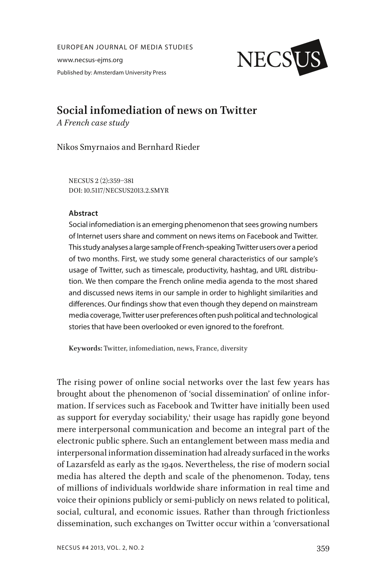EUROPEAN JOURNAL OF MEDIA STUDIES www.necsus-ejms.org Published by: Amsterdam University Press



## **Social infomediation of news on Twitter**

*A French case study*

Nikos Smyrnaios and Bernhard Rieder

NECSUS 2 (2):359–381 DOI: 10.5117/NECSUS2013.2.SMYR

### **Abstract**

Social infomediation is an emerging phenomenon that sees growing numbers of Internet users share and comment on news items on Facebook and Twitter. This study analyses a large sample of French-speaking Twitter users over a period of two months. First, we study some general characteristics of our sample's usage of Twitter, such as timescale, productivity, hashtag, and URL distribution. We then compare the French online media agenda to the most shared and discussed news items in our sample in order to highlight similarities and differences. Our findings show that even though they depend on mainstream media coverage, Twitter user preferences often push political and technological stories that have been overlooked or even ignored to the forefront.

**Keywords:** Twitter, infomediation, news, France, diversity

The rising power of online social networks over the last few years has brought about the phenomenon of 'social dissemination' of online information. If services such as Facebook and Twitter have initially been used as support for everyday sociability,<sup>1</sup> their usage has rapidly gone beyond mere interpersonal communication and become an integral part of the electronic public sphere. Such an entanglement between mass media and interpersonal information dissemination had already surfaced in the works of Lazarsfeld as early as the 1940s. Nevertheless, the rise of modern social media has altered the depth and scale of the phenomenon. Today, tens of millions of individuals worldwide share information in real time and voice their opinions publicly or semi-publicly on news related to political, social, cultural, and economic issues. Rather than through frictionless dissemination, such exchanges on Twitter occur within a 'conversational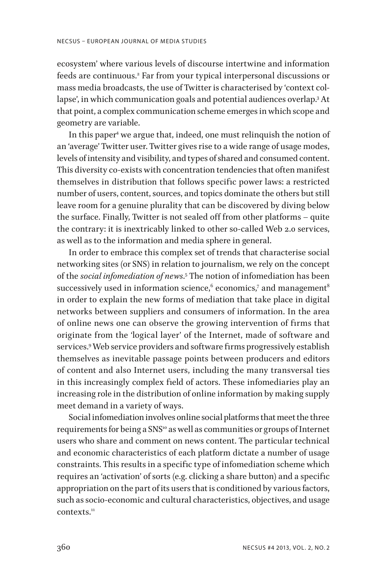ecosystem' where various levels of discourse intertwine and information feeds are continuous.2 Far from your typical interpersonal discussions or mass media broadcasts, the use of Twitter is characterised by 'context collapse', in which communication goals and potential audiences overlap.3 At that point, a complex communication scheme emerges in which scope and geometry are variable.

In this paper4 we argue that, indeed, one must relinquish the notion of an 'average' Twitter user. Twitter gives rise to a wide range of usage modes, levels of intensity and visibility, and types of shared and consumed content. This diversity co-exists with concentration tendencies that often manifest themselves in distribution that follows specific power laws: a restricted number of users, content, sources, and topics dominate the others but still leave room for a genuine plurality that can be discovered by diving below the surface. Finally, Twitter is not sealed off from other platforms – quite the contrary: it is inextricably linked to other so-called Web 2.0 services, as well as to the information and media sphere in general.

In order to embrace this complex set of trends that characterise social networking sites (or SNS) in relation to journalism, we rely on the concept of the *social infomediation of news*. 5 The notion of infomediation has been successively used in information science, $^{\rm 6}$  economics, $^{\rm 7}$  and management $^{\rm 8}$ in order to explain the new forms of mediation that take place in digital networks between suppliers and consumers of information. In the area of online news one can observe the growing intervention of firms that originate from the 'logical layer' of the Internet, made of software and services.9 Web service providers and software firms progressively establish themselves as inevitable passage points between producers and editors of content and also Internet users, including the many transversal ties in this increasingly complex field of actors. These infomediaries play an increasing role in the distribution of online information by making supply meet demand in a variety of ways.

Social infomediation involves online social platforms that meet the three requirements for being a SNS<sup>10</sup> as well as communities or groups of Internet users who share and comment on news content. The particular technical and economic characteristics of each platform dictate a number of usage constraints. This results in a specific type of infomediation scheme which requires an 'activation' of sorts (e.g. clicking a share button) and a specific appropriation on the part of its users that is conditioned by various factors, such as socio-economic and cultural characteristics, objectives, and usage contexts.<sup>11</sup>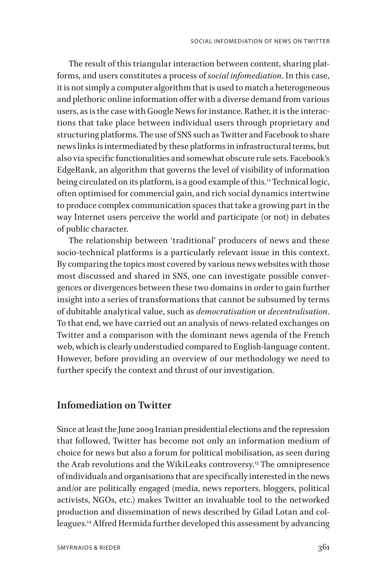The result of this triangular interaction between content, sharing platforms, and users constitutes a process of *social infomediation*. In this case, it is not simply a computer algorithm that is used to match a heterogeneous and plethoric online information offer with a diverse demand from various users, as is the case with Google News for instance. Rather, it is the interactions that take place between individual users through proprietary and structuring platforms. The use of SNS such as Twitter and Facebook to share news links is intermediated by these platforms in infrastructural terms, but also via specific functionalities and somewhat obscure rule sets. Facebook's EdgeRank, an algorithm that governs the level of visibility of information being circulated on its platform, is a good example of this.<sup>12</sup> Technical logic, often optimised for commercial gain, and rich social dynamics intertwine to produce complex communication spaces that take a growing part in the way Internet users perceive the world and participate (or not) in debates of public character.

The relationship between 'traditional' producers of news and these socio-technical platforms is a particularly relevant issue in this context. By comparing the topics most covered by various news websites with those most discussed and shared in SNS, one can investigate possible convergences or divergences between these two domains in order to gain further insight into a series of transformations that cannot be subsumed by terms of dubitable analytical value, such as *democratisation* or *decentralisation*. To that end, we have carried out an analysis of news-related exchanges on Twitter and a comparison with the dominant news agenda of the French web, which is clearly understudied compared to English-language content. However, before providing an overview of our methodology we need to further specify the context and thrust of our investigation.

### **Infomediation on Twitter**

Since at least the June 2009 Iranian presidential elections and the repression that followed, Twitter has become not only an information medium of choice for news but also a forum for political mobilisation, as seen during the Arab revolutions and the WikiLeaks controversy.13 The omnipresence of individuals and organisations that are specifically interested in the news and/or are politically engaged (media, news reporters, bloggers, political activists, NGOs, etc.) makes Twitter an invaluable tool to the networked production and dissemination of news described by Gilad Lotan and colleagues.14 Alfred Hermida further developed this assessment by advancing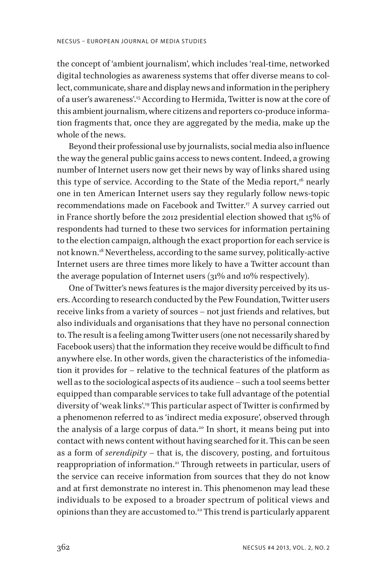the concept of 'ambient journalism', which includes 'real-time, networked digital technologies as awareness systems that offer diverse means to collect, communicate, share and display news and information in the periphery of a user's awareness'.15 According to Hermida, Twitter is now at the core of this ambient journalism, where citizens and reporters co-produce information fragments that, once they are aggregated by the media, make up the whole of the news.

Beyond their professional use by journalists, social media also influence the way the general public gains access to news content. Indeed, a growing number of Internet users now get their news by way of links shared using this type of service. According to the State of the Media report,<sup>16</sup> nearly one in ten American Internet users say they regularly follow news-topic recommendations made on Facebook and Twitter.<sup>17</sup> A survey carried out in France shortly before the 2012 presidential election showed that 15% of respondents had turned to these two services for information pertaining to the election campaign, although the exact proportion for each service is not known.18 Nevertheless, according to the same survey, politically-active Internet users are three times more likely to have a Twitter account than the average population of Internet users (31% and 10% respectively).

One of Twitter's news features is the major diversity perceived by its users. According to research conducted by the Pew Foundation, Twitter users receive links from a variety of sources – not just friends and relatives, but also individuals and organisations that they have no personal connection to. The result is a feeling among Twitter users (one not necessarily shared by Facebook users) that the information they receive would be difficult to find anywhere else. In other words, given the characteristics of the infomediation it provides for – relative to the technical features of the platform as well as to the sociological aspects of its audience – such a tool seems better equipped than comparable services to take full advantage of the potential diversity of 'weak links'.19 This particular aspect of Twitter is confirmed by a phenomenon referred to as 'indirect media exposure', observed through the analysis of a large corpus of data.<sup>20</sup> In short, it means being put into contact with news content without having searched for it. This can be seen as a form of *serendipity* – that is, the discovery, posting, and fortuitous reappropriation of information.<sup>21</sup> Through retweets in particular, users of the service can receive information from sources that they do not know and at first demonstrate no interest in. This phenomenon may lead these individuals to be exposed to a broader spectrum of political views and opinions than they are accustomed to.<sup>22</sup> This trend is particularly apparent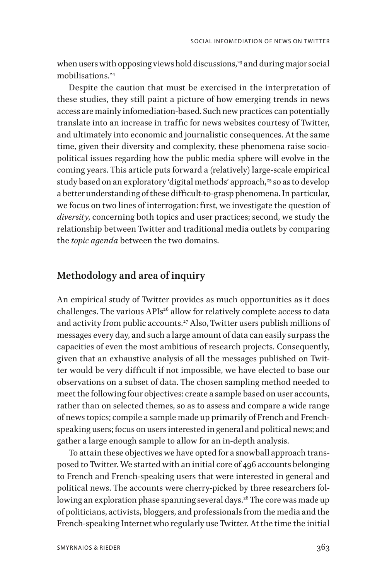when users with opposing views hold discussions, $23$  and during major social mobilisations<sup>24</sup>

Despite the caution that must be exercised in the interpretation of these studies, they still paint a picture of how emerging trends in news access are mainly infomediation-based. Such new practices can potentially translate into an increase in traffic for news websites courtesy of Twitter, and ultimately into economic and journalistic consequences. At the same time, given their diversity and complexity, these phenomena raise sociopolitical issues regarding how the public media sphere will evolve in the coming years. This article puts forward a (relatively) large-scale empirical study based on an exploratory 'digital methods' approach,<sup>25</sup> so as to develop a better understanding of these difficult-to-grasp phenomena. In particular, we focus on two lines of interrogation: first, we investigate the question of *diversity*, concerning both topics and user practices; second, we study the relationship between Twitter and traditional media outlets by comparing the *topic agenda* between the two domains.

### **Methodology and area of inquiry**

An empirical study of Twitter provides as much opportunities as it does challenges. The various APIs<sup>26</sup> allow for relatively complete access to data and activity from public accounts.<sup>27</sup> Also, Twitter users publish millions of messages every day, and such a large amount of data can easily surpass the capacities of even the most ambitious of research projects. Consequently, given that an exhaustive analysis of all the messages published on Twitter would be very difficult if not impossible, we have elected to base our observations on a subset of data. The chosen sampling method needed to meet the following four objectives: create a sample based on user accounts, rather than on selected themes, so as to assess and compare a wide range of news topics; compile a sample made up primarily of French and Frenchspeaking users; focus on users interested in general and political news; and gather a large enough sample to allow for an in-depth analysis.

To attain these objectives we have opted for a snowball approach transposed to Twitter. We started with an initial core of 496 accounts belonging to French and French-speaking users that were interested in general and political news. The accounts were cherry-picked by three researchers following an exploration phase spanning several days.<sup>28</sup> The core was made up of politicians, activists, bloggers, and professionals from the media and the French-speaking Internet who regularly use Twitter. At the time the initial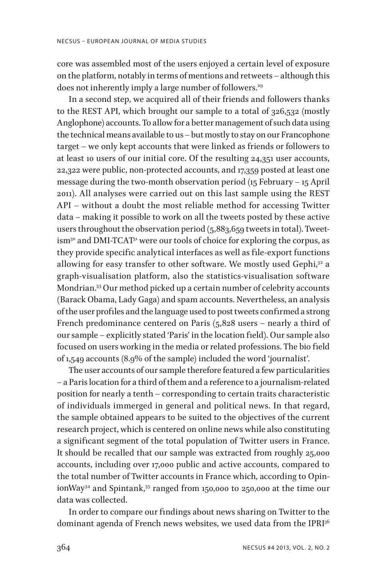core was assembled most of the users enjoyed a certain level of exposure on the platform, notably in terms of mentions and retweets – although this does not inherently imply a large number of followers.<sup>29</sup>

In a second step, we acquired all of their friends and followers thanks to the REST API, which brought our sample to a total of 326,532 (mostly Anglophone) accounts. To allow for a better management of such data using the technical means available to us – but mostly to stay on our Francophone target – we only kept accounts that were linked as friends or followers to at least 10 users of our initial core. Of the resulting 24,351 user accounts, 22,322 were public, non-protected accounts, and 17,359 posted at least one message during the two-month observation period (15 February – 15 April 2011). All analyses were carried out on this last sample using the REST API – without a doubt the most reliable method for accessing Twitter data – making it possible to work on all the tweets posted by these active users throughout the observation period (5,883,659 tweets in total). Tweetism<sup>30</sup> and DMI-TCAT<sup>31</sup> were our tools of choice for exploring the corpus, as they provide specific analytical interfaces as well as file-export functions allowing for easy transfer to other software. We mostly used Gephi,<sup>32</sup> a graph-visualisation platform, also the statistics-visualisation software Mondrian.33 Our method picked up a certain number of celebrity accounts (Barack Obama, Lady Gaga) and spam accounts. Nevertheless, an analysis of the user profiles and the language used to post tweets confirmed a strong French predominance centered on Paris (5,828 users – nearly a third of our sample – explicitly stated 'Paris' in the location field). Our sample also focused on users working in the media or related professions. The bio field of 1,549 accounts (8.9% of the sample) included the word 'journalist'.

The user accounts of our sample therefore featured a few particularities – a Paris location for a third of them and a reference to a journalism-related position for nearly a tenth – corresponding to certain traits characteristic of individuals immerged in general and political news. In that regard, the sample obtained appears to be suited to the objectives of the current research project, which is centered on online news while also constituting a significant segment of the total population of Twitter users in France. It should be recalled that our sample was extracted from roughly 25,000 accounts, including over 17,000 public and active accounts, compared to the total number of Twitter accounts in France which, according to OpinionWay<sup>34</sup> and Spintank,<sup>35</sup> ranged from 150,000 to 250,000 at the time our data was collected.

In order to compare our findings about news sharing on Twitter to the dominant agenda of French news websites, we used data from the IPRI<sup>36</sup>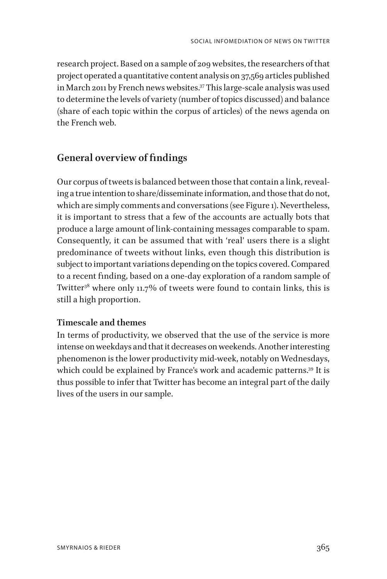research project. Based on a sample of 209 websites, the researchers of that project operated a quantitative content analysis on 37,569 articles published in March 2011 by French news websites.<sup>37</sup> This large-scale analysis was used to determine the levels of variety (number of topics discussed) and balance (share of each topic within the corpus of articles) of the news agenda on the French web.

### **General overview of findings**

Our corpus of tweets is balanced between those that contain a link, revealing a true intention to share/disseminate information, and those that do not, which are simply comments and conversations (see Figure 1). Nevertheless, it is important to stress that a few of the accounts are actually bots that produce a large amount of link-containing messages comparable to spam. Consequently, it can be assumed that with 'real' users there is a slight predominance of tweets without links, even though this distribution is subject to important variations depending on the topics covered. Compared to a recent finding, based on a one-day exploration of a random sample of Twitter<sup>38</sup> where only 11.7% of tweets were found to contain links, this is still a high proportion.

### **Timescale and themes**

In terms of productivity, we observed that the use of the service is more intense on weekdays and that it decreases on weekends. Another interesting phenomenon is the lower productivity mid-week, notably on Wednesdays, which could be explained by France's work and academic patterns.<sup>39</sup> It is thus possible to infer that Twitter has become an integral part of the daily lives of the users in our sample.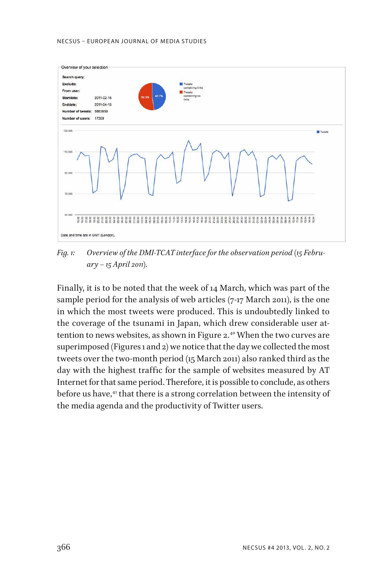#### NECSUS – EUROPEAN JOURNAL OF MEDIA STUDIES



*Fig. 1: Overview of the DMI-TCAT interface for the observation period (15 February – 15 April 2011).*

Finally, it is to be noted that the week of 14 March, which was part of the sample period for the analysis of web articles (7-17 March 2011), is the one in which the most tweets were produced. This is undoubtedly linked to the coverage of the tsunami in Japan, which drew considerable user attention to news websites, as shown in Figure 2.<sup>40</sup> When the two curves are superimposed (Figures 1 and 2) we notice that the day we collected the most tweets over the two-month period (15 March 2011) also ranked third as the day with the highest traffic for the sample of websites measured by AT Internet for that same period. Therefore, it is possible to conclude, as others before us have,<sup>41</sup> that there is a strong correlation between the intensity of the media agenda and the productivity of Twitter users.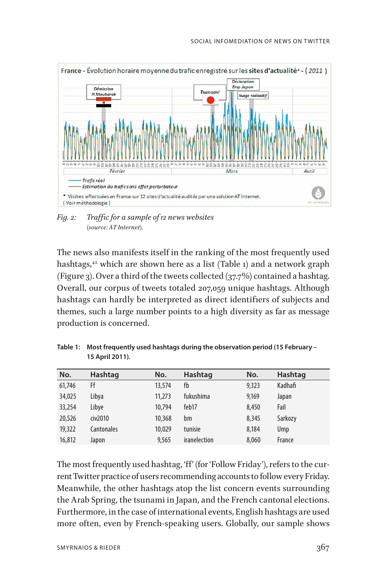

*Fig. 2: Traffic for a sample of 12 news websites (source: AT Internet).*

The news also manifests itself in the ranking of the most frequently used hashtags,<sup>42</sup> which are shown here as a list (Table 1) and a network graph (Figure 3). Over a third of the tweets collected  $(37.7%)$  contained a hashtag. Overall, our corpus of tweets totaled 207,059 unique hashtags. Although hashtags can hardly be interpreted as direct identifiers of subjects and themes, such a large number points to a high diversity as far as message production is concerned.

| No.    | Hashtag    | No.    | Hashtag      | No.   | Hashtag |
|--------|------------|--------|--------------|-------|---------|
| 61,746 | Ff         | 13,574 | fb           | 9,323 | Kadhafi |
| 34,025 | Libya      | 11,273 | fukushima    | 9,169 | Japan   |
| 33,254 | Libye      | 10,794 | feb17        | 8,450 | Fail    |
| 20,526 | civ2010    | 10,368 | bm           | 8,345 | Sarkozy |
| 19,322 | Cantonales | 10,029 | tunisie      | 8.184 | Ump     |
| 16,812 | Japon      | 9,565  | iranelection | 8,060 | France  |

**Table 1: Most frequently used hashtags during the observation period (15 February – 15 April 2011).**

The most frequently used hashtag, 'ff' (for 'Follow Friday'), refers to the current Twitter practice of users recommending accounts to follow every Friday. Meanwhile, the other hashtags atop the list concern events surrounding the Arab Spring, the tsunami in Japan, and the French cantonal elections. Furthermore, in the case of international events, English hashtags are used more often, even by French-speaking users. Globally, our sample shows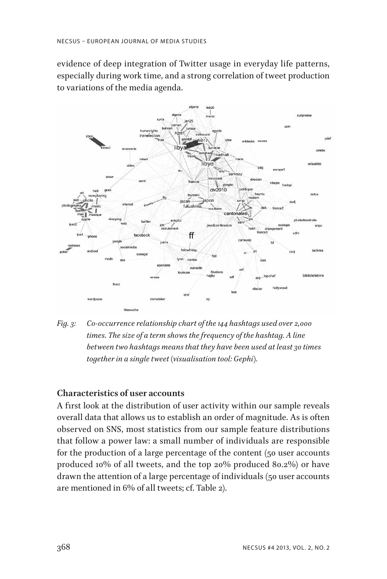evidence of deep integration of Twitter usage in everyday life patterns, especially during work time, and a strong correlation of tweet production to variations of the media agenda.



*Fig. 3: Co-occurrence relationship chart of the 144 hashtags used over 2,000 times. The size of a term shows the frequency of the hashtag. A line between two hashtags means that they have been used at least 30 times together in a single tweet (visualisation tool: Gephi).*

### **Characteristics of user accounts**

A first look at the distribution of user activity within our sample reveals overall data that allows us to establish an order of magnitude. As is often observed on SNS, most statistics from our sample feature distributions that follow a power law: a small number of individuals are responsible for the production of a large percentage of the content (50 user accounts produced 10% of all tweets, and the top 20% produced 80.2%) or have drawn the attention of a large percentage of individuals (50 user accounts are mentioned in 6% of all tweets; cf. Table 2).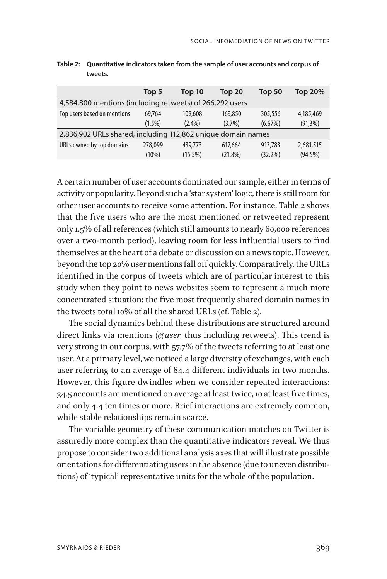|                                                              | Top 5     | Top 10     | Top <sub>20</sub> | <b>Top 50</b> | Top 20%     |  |
|--------------------------------------------------------------|-----------|------------|-------------------|---------------|-------------|--|
| 4,584,800 mentions (including retweets) of 266,292 users     |           |            |                   |               |             |  |
| Top users based on mentions                                  | 69,764    | 109,608    | 169,850           | 305,556       | 4,185,469   |  |
|                                                              | $(1.5\%)$ | $(2.4\%)$  | (3.7%)            | (6.67%)       | $(91, 3\%)$ |  |
| 2,836,902 URLs shared, including 112,862 unique domain names |           |            |                   |               |             |  |
| URLs owned by top domains                                    | 278,099   | 439,773    | 617,664           | 913,783       | 2,681,515   |  |
|                                                              | (10%)     | $(15.5\%)$ | $(21.8\%)$        | (32.2%)       | $(94.5\%)$  |  |

**Table 2: Quantitative indicators taken from the sample of user accounts and corpus of tweets.**

A certain number of user accounts dominated our sample, either in terms of activity or popularity. Beyond such a 'star system' logic, there is still room for other user accounts to receive some attention. For instance, Table 2 shows that the five users who are the most mentioned or retweeted represent only 1.5% of all references (which still amounts to nearly 60,000 references over a two-month period), leaving room for less influential users to find themselves at the heart of a debate or discussion on a news topic. However, beyond the top 20% user mentions fall off quickly. Comparatively, the URLs identified in the corpus of tweets which are of particular interest to this study when they point to news websites seem to represent a much more concentrated situation: the five most frequently shared domain names in the tweets total 10% of all the shared URLs (cf. Table 2).

The social dynamics behind these distributions are structured around direct links via mentions (@*user*, thus including retweets). This trend is very strong in our corpus, with 57.7% of the tweets referring to at least one user. At a primary level, we noticed a large diversity of exchanges, with each user referring to an average of 84.4 different individuals in two months. However, this figure dwindles when we consider repeated interactions: 34.5 accounts are mentioned on average at least twice, 10 at least five times, and only 4.4 ten times or more. Brief interactions are extremely common, while stable relationships remain scarce.

The variable geometry of these communication matches on Twitter is assuredly more complex than the quantitative indicators reveal. We thus propose to consider two additional analysis axes that will illustrate possible orientations for differentiating users in the absence (due to uneven distributions) of 'typical' representative units for the whole of the population.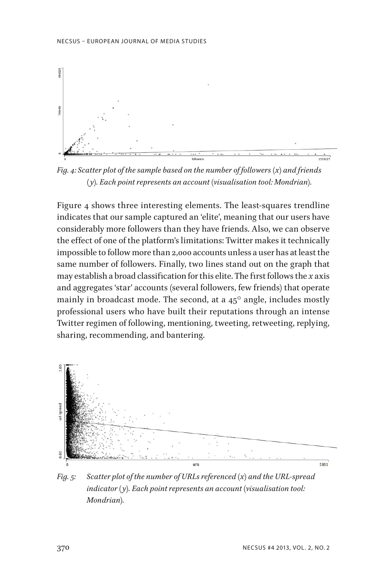

*Fig. 4: Scatter plot of the sample based on the number of followers (x) and friends (y). Each point represents an account (visualisation tool: Mondrian).*

Figure 4 shows three interesting elements. The least-squares trendline indicates that our sample captured an 'elite', meaning that our users have considerably more followers than they have friends. Also, we can observe the effect of one of the platform's limitations: Twitter makes it technically impossible to follow more than 2,000 accounts unless a user has at least the same number of followers. Finally, two lines stand out on the graph that may establish a broad classification for this elite. The first follows the *x* axis and aggregates 'star' accounts (several followers, few friends) that operate mainly in broadcast mode. The second, at a  $45^{\circ}$  angle, includes mostly professional users who have built their reputations through an intense Twitter regimen of following, mentioning, tweeting, retweeting, replying, sharing, recommending, and bantering.



*Fig. 5: Scatter plot of the number of URLs referenced (x) and the URL-spread indicator (y). Each point represents an account (visualisation tool: Mondrian).*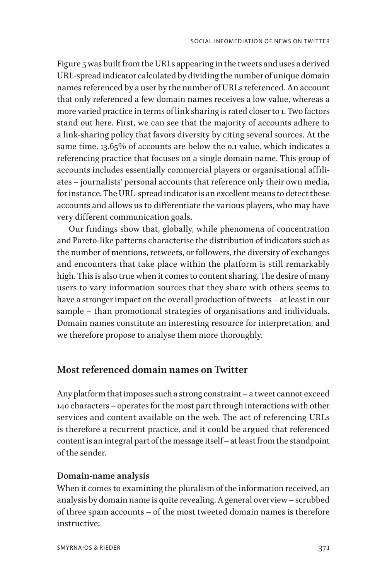Figure 5 was built from the URLs appearing in the tweets and uses a derived URL-spread indicator calculated by dividing the number of unique domain names referenced by a user by the number of URLs referenced. An account that only referenced a few domain names receives a low value, whereas a more varied practice in terms of link sharing is rated closer to 1. Two factors stand out here. First, we can see that the majority of accounts adhere to a link-sharing policy that favors diversity by citing several sources. At the same time, 13.65% of accounts are below the 0.1 value, which indicates a referencing practice that focuses on a single domain name. This group of accounts includes essentially commercial players or organisational affiliates – journalists' personal accounts that reference only their own media, for instance. The URL-spread indicator is an excellent means to detect these accounts and allows us to differentiate the various players, who may have very different communication goals.

Our findings show that, globally, while phenomena of concentration and Pareto-like patterns characterise the distribution of indicators such as the number of mentions, retweets, or followers, the diversity of exchanges and encounters that take place within the platform is still remarkably high. This is also true when it comes to content sharing. The desire of many users to vary information sources that they share with others seems to have a stronger impact on the overall production of tweets – at least in our sample – than promotional strategies of organisations and individuals. Domain names constitute an interesting resource for interpretation, and we therefore propose to analyse them more thoroughly.

### **Most referenced domain names on Twitter**

Any platform that imposes such a strong constraint – a tweet cannot exceed 140 characters – operates for the most part through interactions with other services and content available on the web. The act of referencing URLs is therefore a recurrent practice, and it could be argued that referenced content is an integral part of the message itself – at least from the standpoint of the sender.

### **Domain-name analysis**

When it comes to examining the pluralism of the information received, an analysis by domain name is quite revealing. A general overview – scrubbed of three spam accounts – of the most tweeted domain names is therefore instructive: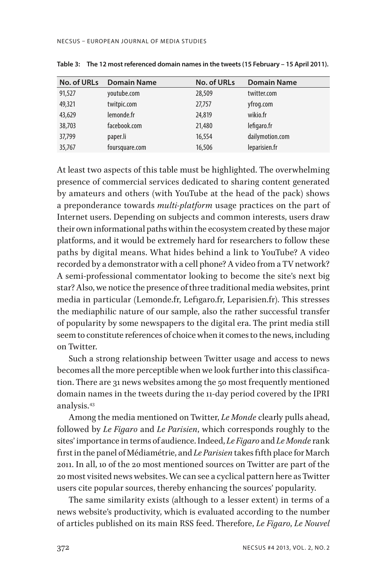| <b>No. of URLs</b> | <b>Domain Name</b> | <b>No. of URLs</b> | <b>Domain Name</b> |
|--------------------|--------------------|--------------------|--------------------|
| 91,527             | youtube.com        | 28,509             | twitter.com        |
| 49,321             | twitpic.com        | 27,757             | yfrog.com          |
| 43,629             | lemonde.fr         | 24,819             | wikio.fr           |
| 38,703             | facebook.com       | 21,480             | lefigaro.fr        |
| 37,799             | paper.li           | 16,554             | dailymotion.com    |
| 35,767             | foursquare.com     | 16,506             | leparisien.fr      |

**Table 3: The 12 most referenced domain names in the tweets (15 February – 15 April 2011).**

At least two aspects of this table must be highlighted. The overwhelming presence of commercial services dedicated to sharing content generated by amateurs and others (with YouTube at the head of the pack) shows a preponderance towards *multi-platform* usage practices on the part of Internet users. Depending on subjects and common interests, users draw their own informational paths within the ecosystem created by these major platforms, and it would be extremely hard for researchers to follow these paths by digital means. What hides behind a link to YouTube? A video recorded by a demonstrator with a cell phone? A video from a TV network? A semi-professional commentator looking to become the site's next big star? Also, we notice the presence of three traditional media websites, print media in particular (Lemonde.fr, Lefigaro.fr, Leparisien.fr). This stresses the mediaphilic nature of our sample, also the rather successful transfer of popularity by some newspapers to the digital era. The print media still seem to constitute references of choice when it comes to the news, including on Twitter.

Such a strong relationship between Twitter usage and access to news becomes all the more perceptible when we look further into this classification. There are 31 news websites among the 50 most frequently mentioned domain names in the tweets during the 11-day period covered by the IPRI analysis.43

Among the media mentioned on Twitter, *Le Monde* clearly pulls ahead, followed by *Le Figaro* and *Le Parisien*, which corresponds roughly to the sites' importance in terms of audience. Indeed, *Le Figaro* and *Le Monde* rank first in the panel of Médiamétrie, and *Le Parisien* takes fifth place for March 2011. In all, 10 of the 20 most mentioned sources on Twitter are part of the 20 most visited news websites. We can see a cyclical pattern here as Twitter users cite popular sources, thereby enhancing the sources' popularity.

The same similarity exists (although to a lesser extent) in terms of a news website's productivity, which is evaluated according to the number of articles published on its main RSS feed. Therefore, *Le Figaro*, *Le Nouvel*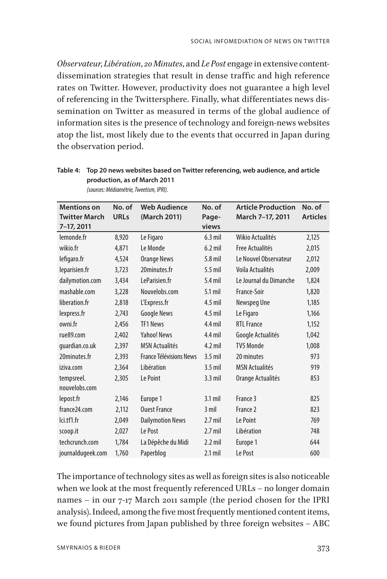*Observateur*, *Libération*, *20 Minutes*, and *Le Post* engage in extensive contentdissemination strategies that result in dense traffic and high reference rates on Twitter. However, productivity does not guarantee a high level of referencing in the Twittersphere. Finally, what differentiates news dissemination on Twitter as measured in terms of the global audience of information sites is the presence of technology and foreign-news websites atop the list, most likely due to the events that occurred in Japan during the observation period.

| <b>Mentions on</b>   | No. of      | <b>Web Audience</b>            | No. of    | <b>Article Production</b> | No. of          |
|----------------------|-------------|--------------------------------|-----------|---------------------------|-----------------|
| <b>Twitter March</b> | <b>URLs</b> | (March 2011)                   | Page-     | March 7-17, 2011          | <b>Articles</b> |
| 7-17, 2011           |             |                                | views     |                           |                 |
| lemonde.fr           | 8,920       | Le Figaro                      | $6.3$ mil | Wikio Actualités          | 2,125           |
| wikio.fr             | 4,871       | Le Monde                       | $6.2$ mil | Free Actualités           | 2,015           |
| lefigaro.fr          | 4,524       | <b>Orange News</b>             | 5.8 mil   | Le Nouvel Observateur     | 2,012           |
| leparisien.fr        | 3,723       | 20minutes.fr                   | $5.5$ mil | Voila Actualités          | 2,009           |
| dailymotion.com      | 3,434       | LeParisien.fr                  | $5.4$ mil | Le Journal du Dimanche    | 1,824           |
| mashable.com         | 3,228       | Nouvelobs.com                  | $5.1$ mil | France-Soir               | 1,820           |
| liberation.fr        | 2,818       | L'Express.fr                   | $4.5$ mil | Newspeg Une               | 1,185           |
| lexpress.fr          | 2,743       | <b>Google News</b>             | $4.5$ mil | Le Figaro                 | 1,166           |
| owni.fr              | 2,456       | TF1 News                       | $4.4$ mil | <b>RTL France</b>         | 1,152           |
| rue89.com            | 2,402       | <b>Yahoo! News</b>             | $4.4$ mil | Google Actualités         | 1,042           |
| quardian.co.uk       | 2,397       | <b>MSN Actualités</b>          | $4.2$ mil | <b>TV5 Monde</b>          | 1,008           |
| 20minutes.fr         | 2,393       | <b>France Télévisions News</b> | $3.5$ mil | 20 minutes                | 973             |
| iziva.com            | 2,364       | Libération                     | $3.5$ mil | <b>MSN Actualités</b>     | 919             |
| tempsreel.           | 2,305       | Le Point                       | $3.3$ mil | Orange Actualités         | 853             |
| nouvelobs.com        |             |                                |           |                           |                 |
| lepost.fr            | 2.146       | Europe 1                       | $3.1$ mil | France 3                  | 825             |
| france 24.com        | 2,112       | <b>Ouest France</b>            | $3$ mil   | France 2                  | 823             |
| lci.tf1.fr           | 2,049       | <b>Dailymotion News</b>        | $2.7$ mil | Le Point                  | 769             |
| scoop.it             | 2,027       | Le Post                        | $2.7$ mil | Libération                | 748             |
| techcrunch.com       | 1,784       | La Dépêche du Midi             | $2.2$ mil | Europe 1                  | 644             |
| journaldugeek.com    | 1,760       | Paperblog                      | $2.1$ mil | Le Post                   | 600             |

**Table 4: Top 20 news websites based on Twitter referencing, web audience, and article production, as of March 2011**  *(sources: Médiamétrie, Tweetism, IPRI).*

The importance of technology sites as well as foreign sites is also noticeable when we look at the most frequently referenced URLs – no longer domain names – in our 7-17 March 2011 sample (the period chosen for the IPRI analysis). Indeed, among the five most frequently mentioned content items, we found pictures from Japan published by three foreign websites – ABC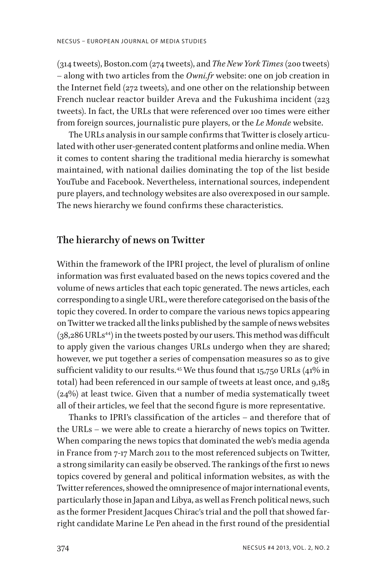(314 tweets), Boston.com (274 tweets), and *The New York Times* (200 tweets) – along with two articles from the *Owni.fr* website: one on job creation in the Internet field (272 tweets), and one other on the relationship between French nuclear reactor builder Areva and the Fukushima incident (223 tweets). In fact, the URLs that were referenced over 100 times were either from foreign sources, journalistic pure players, or the *Le Monde* website.

The URLs analysis in our sample confirms that Twitter is closely articulated with other user-generated content platforms and online media. When it comes to content sharing the traditional media hierarchy is somewhat maintained, with national dailies dominating the top of the list beside YouTube and Facebook. Nevertheless, international sources, independent pure players, and technology websites are also overexposed in our sample. The news hierarchy we found confirms these characteristics.

### **The hierarchy of news on Twitter**

Within the framework of the IPRI project, the level of pluralism of online information was first evaluated based on the news topics covered and the volume of news articles that each topic generated. The news articles, each corresponding to a single URL, were therefore categorised on the basis of the topic they covered. In order to compare the various news topics appearing on Twitter we tracked all the links published by the sample of news websites  $(38,286 \text{ URLs}^{44})$  in the tweets posted by our users. This method was difficult to apply given the various changes URLs undergo when they are shared; however, we put together a series of compensation measures so as to give sufficient validity to our results.<sup>45</sup> We thus found that 15,750 URLs (41% in total) had been referenced in our sample of tweets at least once, and 9,185 (24%) at least twice. Given that a number of media systematically tweet all of their articles, we feel that the second figure is more representative.

Thanks to IPRI's classification of the articles – and therefore that of the URLs – we were able to create a hierarchy of news topics on Twitter. When comparing the news topics that dominated the web's media agenda in France from 7-17 March 2011 to the most referenced subjects on Twitter, a strong similarity can easily be observed. The rankings of the first 10 news topics covered by general and political information websites, as with the Twitter references, showed the omnipresence of major international events, particularly those in Japan and Libya, as well as French political news, such as the former President Jacques Chirac's trial and the poll that showed farright candidate Marine Le Pen ahead in the first round of the presidential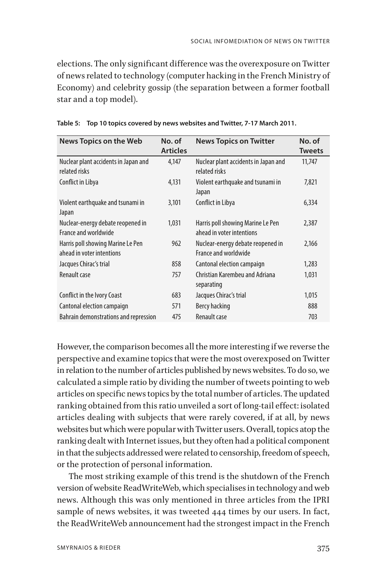elections. The only significant difference was the overexposure on Twitter of news related to technology (computer hacking in the French Ministry of Economy) and celebrity gossip (the separation between a former football star and a top model).

| News Topics on the Web                                         | No. of<br><b>Articles</b> | <b>News Topics on Twitter</b>                                  | No. of<br><b>Tweets</b> |
|----------------------------------------------------------------|---------------------------|----------------------------------------------------------------|-------------------------|
| Nuclear plant accidents in Japan and<br>related risks          | 4.147                     | Nuclear plant accidents in Japan and<br>related risks          | 11,747                  |
| Conflict in Libya                                              | 4,131                     | Violent earthquake and tsunami in<br>Japan                     | 7,821                   |
| Violent earthquake and tsunami in<br>Japan                     | 3,101                     | Conflict in Libya                                              | 6,334                   |
| Nuclear-energy debate reopened in<br>France and worldwide      | 1.031                     | Harris poll showing Marine Le Pen<br>ahead in voter intentions | 2,387                   |
| Harris poll showing Marine Le Pen<br>ahead in voter intentions | 962                       | Nuclear-energy debate reopened in<br>France and worldwide      | 2,166                   |
| Jacques Chirac's trial                                         | 858                       | Cantonal election campaign                                     | 1,283                   |
| Renault case                                                   | 757                       | Christian Karembeu and Adriana<br>separating                   | 1,031                   |
| Conflict in the Ivory Coast                                    | 683                       | Jacques Chirac's trial                                         | 1,015                   |
| Cantonal election campaign                                     | 571                       | Bercy hacking                                                  | 888                     |
| Bahrain demonstrations and repression                          | 475                       | Renault case                                                   | 703                     |

**Table 5: Top 10 topics covered by news websites and Twitter, 7-17 March 2011.**

However, the comparison becomes all the more interesting if we reverse the perspective and examine topics that were the most overexposed on Twitter in relation to the number of articles published by news websites. To do so, we calculated a simple ratio by dividing the number of tweets pointing to web articles on specific news topics by the total number of articles. The updated ranking obtained from this ratio unveiled a sort of long-tail effect: isolated articles dealing with subjects that were rarely covered, if at all, by news websites but which were popular with Twitter users. Overall, topics atop the ranking dealt with Internet issues, but they often had a political component in that the subjects addressed were related to censorship, freedom of speech, or the protection of personal information.

The most striking example of this trend is the shutdown of the French version of website ReadWriteWeb, which specialises in technology and web news. Although this was only mentioned in three articles from the IPRI sample of news websites, it was tweeted 444 times by our users. In fact, the ReadWriteWeb announcement had the strongest impact in the French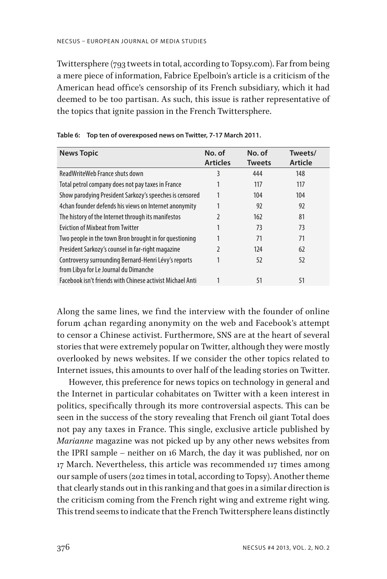Twittersphere (793 tweets in total, according to Topsy.com). Far from being a mere piece of information, Fabrice Epelboin's article is a criticism of the American head office's censorship of its French subsidiary, which it had deemed to be too partisan. As such, this issue is rather representative of the topics that ignite passion in the French Twittersphere.

| <b>News Topic</b>                                                                             | No. of<br><b>Articles</b> | No. of<br><b>Tweets</b> | Tweets/<br>Article |  |
|-----------------------------------------------------------------------------------------------|---------------------------|-------------------------|--------------------|--|
| ReadWriteWeb France shuts down                                                                | 3                         | 444                     | 148                |  |
| Total petrol company does not pay taxes in France                                             |                           | 117                     | 117                |  |
| Show parodying President Sarkozy's speeches is censored                                       |                           | 104                     | 104                |  |
| 4 Chan founder defends his views on Internet anonymity                                        |                           | 92                      | 92                 |  |
| The history of the Internet through its manifestos                                            | 2                         | 162                     | 81                 |  |
| <b>Fviction of Mixbeat from Twitter</b>                                                       |                           | 73                      | 73                 |  |
| Two people in the town Bron brought in for questioning                                        |                           | 71                      | 71                 |  |
| President Sarkozy's counsel in far-right magazine                                             | 2                         | 124                     | 62                 |  |
| Controversy surrounding Bernard-Henri Lévy's reports<br>from Libya for Le Journal du Dimanche |                           | 52                      | 52                 |  |
| Facebook isn't friends with Chinese activist Michael Anti                                     |                           | 51                      | 51                 |  |

**Table 6: Top ten of overexposed news on Twitter, 7-17 March 2011.**

Along the same lines, we find the interview with the founder of online forum 4chan regarding anonymity on the web and Facebook's attempt to censor a Chinese activist. Furthermore, SNS are at the heart of several stories that were extremely popular on Twitter, although they were mostly overlooked by news websites. If we consider the other topics related to Internet issues, this amounts to over half of the leading stories on Twitter.

However, this preference for news topics on technology in general and the Internet in particular cohabitates on Twitter with a keen interest in politics, specifically through its more controversial aspects. This can be seen in the success of the story revealing that French oil giant Total does not pay any taxes in France. This single, exclusive article published by *Marianne* magazine was not picked up by any other news websites from the IPRI sample – neither on 16 March, the day it was published, nor on 17 March. Nevertheless, this article was recommended 117 times among our sample of users (202 times in total, according to Topsy). Another theme that clearly stands out in this ranking and that goes in a similar direction is the criticism coming from the French right wing and extreme right wing. This trend seems to indicate that the French Twittersphere leans distinctly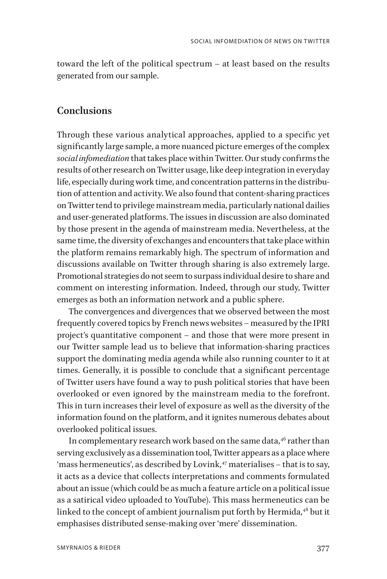toward the left of the political spectrum – at least based on the results generated from our sample.

### **Conclusions**

Through these various analytical approaches, applied to a specific yet significantly large sample, a more nuanced picture emerges of the complex *social infomediation* that takes place within Twitter. Our study confirms the results of other research on Twitter usage, like deep integration in everyday life, especially during work time, and concentration patterns in the distribution of attention and activity. We also found that content-sharing practices on Twitter tend to privilege mainstream media, particularly national dailies and user-generated platforms. The issues in discussion are also dominated by those present in the agenda of mainstream media. Nevertheless, at the same time, the diversity of exchanges and encounters that take place within the platform remains remarkably high. The spectrum of information and discussions available on Twitter through sharing is also extremely large. Promotional strategies do not seem to surpass individual desire to share and comment on interesting information. Indeed, through our study, Twitter emerges as both an information network and a public sphere.

The convergences and divergences that we observed between the most frequently covered topics by French news websites – measured by the IPRI project's quantitative component – and those that were more present in our Twitter sample lead us to believe that information-sharing practices support the dominating media agenda while also running counter to it at times. Generally, it is possible to conclude that a significant percentage of Twitter users have found a way to push political stories that have been overlooked or even ignored by the mainstream media to the forefront. This in turn increases their level of exposure as well as the diversity of the information found on the platform, and it ignites numerous debates about overlooked political issues.

In complementary research work based on the same data, $46$  rather than serving exclusively as a dissemination tool, Twitter appears as a place where 'mass hermeneutics', as described by Lovink, $47$  materialises – that is to say, it acts as a device that collects interpretations and comments formulated about an issue (which could be as much a feature article on a political issue as a satirical video uploaded to YouTube). This mass hermeneutics can be linked to the concept of ambient journalism put forth by Hermida,<sup>48</sup> but it emphasises distributed sense-making over 'mere' dissemination.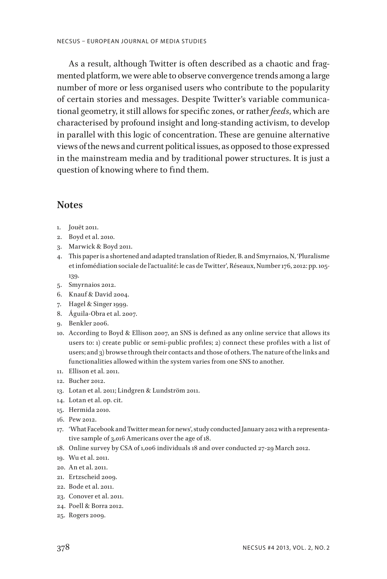As a result, although Twitter is often described as a chaotic and fragmented platform, we were able to observe convergence trends among a large number of more or less organised users who contribute to the popularity of certain stories and messages. Despite Twitter's variable communicational geometry, it still allows for specific zones, or rather *feeds*, which are characterised by profound insight and long-standing activism, to develop in parallel with this logic of concentration. These are genuine alternative views of the news and current political issues, as opposed to those expressed in the mainstream media and by traditional power structures. It is just a question of knowing where to find them.

### **Notes**

- 1. Jouët 2011.
- 2. Boyd et al. 2010.
- 3. Marwick & Boyd 2011.
- 4. This paper is a shortened and adapted translation of Rieder, B. and Smyrnaios, N, 'Pluralisme et infomédiation sociale de l'actualité: le cas de Twitter', Réseaux, Number 176, 2012: pp. 105- 139.
- 5. Smyrnaios 2012.
- 6. Knauf & David 2004.
- 7. Hagel & Singer 1999.
- 8. Águila-Obra et al. 2007.
- 9. Benkler 2006.
- 10. According to Boyd & Ellison 2007, an SNS is defined as any online service that allows its users to: 1) create public or semi-public profiles; 2) connect these profiles with a list of users; and 3) browse through their contacts and those of others. The nature of the links and functionalities allowed within the system varies from one SNS to another.
- 11. Ellison et al. 2011.
- 12. Bucher 2012.
- 13. Lotan et al. 2011; Lindgren & Lundström 2011.
- 14. Lotan et al. op. cit.
- 15. Hermida 2010.
- 16. Pew 2012.
- 17. 'What Facebook and Twitter mean for news', study conducted January 2012 with a representative sample of 3,016 Americans over the age of 18.
- 18. Online survey by CSA of 1,006 individuals 18 and over conducted 27-29 March 2012.
- 19. Wu et al. 2011.
- 20. An et al. 2011.
- 21. Ertzscheid 2009.
- 22. Bode et al. 2011.
- 23. Conover et al. 2011.
- 24. Poell & Borra 2012.
- 25. Rogers 2009.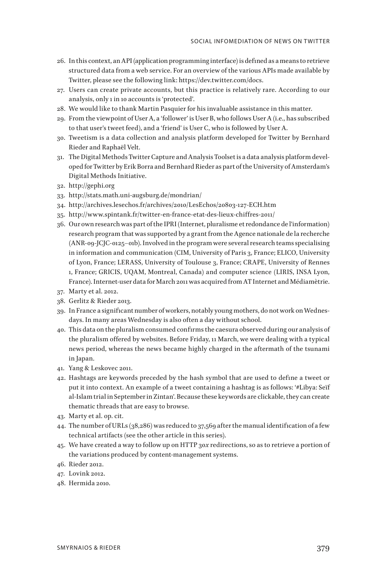- 26. In this context, an API (application programming interface) is defined as a means to retrieve structured data from a web service. For an overview of the various APIs made available by Twitter, please see the following link: https://dev.twitter.com/docs.
- 27. Users can create private accounts, but this practice is relatively rare. According to our analysis, only 1 in 10 accounts is 'protected'.
- 28. We would like to thank Martin Pasquier for his invaluable assistance in this matter.
- 29. From the viewpoint of User A, a 'follower' is User B, who follows User A (i.e., has subscribed to that user's tweet feed), and a 'friend' is User C, who is followed by User A.
- 30. Tweetism is a data collection and analysis platform developed for Twitter by Bernhard Rieder and Raphaël Velt.
- 31. The Digital Methods Twitter Capture and Analysis Toolset is a data analysis platform developed for Twitter by Erik Borra and Bernhard Rieder as part of the University of Amsterdam's Digital Methods Initiative.
- 32. http://gephi.org
- 33. http://stats.math.uni-augsburg.de/mondrian/
- 34. http://archives.lesechos.fr/archives/2010/LesEchos/20803-127-ECH.htm
- 35. http://www.spintank.fr/twitter-en-france-etat-des-lieux-chiffres-2011/
- 36. Our own research was part of the IPRI (Internet, pluralisme et redondance de l'information) research program that was supported by a grant from the Agence nationale de la recherche (ANR-09-JCJC-0125–01b). Involved in the program were several research teams specialising in information and communication (CIM, University of Paris 3, France; ELICO, University of Lyon, France; LERASS, University of Toulouse 3, France; CRAPE, University of Rennes 1, France; GRICIS, UQAM, Montreal, Canada) and computer science (LIRIS, INSA Lyon, France). Internet-user data for March 2011 was acquired from AT Internet and Médiamètrie.
- 37. Marty et al. 2012.
- 38. Gerlitz & Rieder 2013.
- 39. In France a significant number of workers, notably young mothers, do not work on Wednesdays. In many areas Wednesday is also often a day without school.
- 40. This data on the pluralism consumed confirms the caesura observed during our analysis of the pluralism offered by websites. Before Friday, 11 March, we were dealing with a typical news period, whereas the news became highly charged in the aftermath of the tsunami in Japan.
- 41. Yang & Leskovec 2011.
- 42. Hashtags are keywords preceded by the hash symbol that are used to define a tweet or put it into context. An example of a tweet containing a hashtag is as follows: '#Libya: Seïf al-Islam trial in September in Zintan'. Because these keywords are clickable, they can create thematic threads that are easy to browse.
- 43. Marty et al. op. cit.
- 44. The number of URLs (38,286) was reduced to 37,569 after the manual identification of a few technical artifacts (see the other article in this series).
- 45. We have created a way to follow up on HTTP 30*x* redirections, so as to retrieve a portion of the variations produced by content-management systems.
- 46. Rieder 2012.
- 47. Lovink 2012.
- 48. Hermida 2010.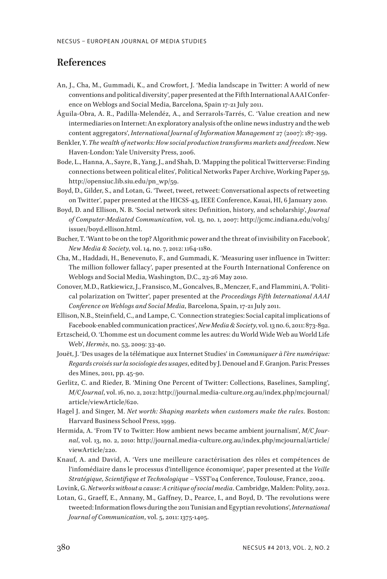### **References**

- An, J., Cha, M., Gummadi, K., and Crowfort, J. 'Media landscape in Twitter: A world of new conventions and political diversity', paper presented at the Fifth International AAAI Conference on Weblogs and Social Media, Barcelona, Spain 17-21 July 2011.
- Águila-Obra, A. R., Padilla-Melendéz, A., and Serrarols-Tarrés, C. 'Value creation and new intermediaries on Internet: An exploratory analysis of the online news industry and the web content aggregators', *International Journal of Information Management* 27 (2007): 187-199.
- Benkler, Y. *The wealth of networks: How social production transforms markets and freedom*. New Haven-London: Yale University Press, 2006.
- Bode, L., Hanna, A., Sayre, B., Yang, J., and Shah, D. 'Mapping the political Twitterverse: Finding connections between political elites', Political Networks Paper Archive, Working Paper 59, http://opensiuc.lib.siu.edu/pn\_wp/59.
- Boyd, D., Gilder, S., and Lotan, G. 'Tweet, tweet, retweet: Conversational aspects of retweeting on Twitter', paper presented at the HICSS-43, IEEE Conference, Kauai, HI, 6 January 2010.
- Boyd, D. and Ellison, N. B. 'Social network sites: Definition, history, and scholarship', *Journal of Computer-Mediated Communication*, vol. 13, no. 1, 2007: http://jcmc.indiana.edu/vol13/ issue1/boyd.ellison.html.
- Bucher, T. 'Want to be on the top? Algorithmic power and the threat of invisibility on Facebook', *New Media & Society*, vol. 14, no. 7, 2012: 1164-1180.
- Cha, M., Haddadi, H., Benevenuto, F., and Gummadi, K. 'Measuring user influence in Twitter: The million follower fallacy', paper presented at the Fourth International Conference on Weblogs and Social Media, Washington, D.C., 23-26 May 2010.
- Conover, M.D., Ratkiewicz, J., Fransisco, M., Goncalves, B., Menczer, F., and Flammini, A. 'Political polarization on Twitter', paper presented at the *Proceedings Fifth International AAAI Conference on Weblogs and Social Media*, Barcelona, Spain, 17-21 July 2011.
- Ellison, N.B., Steinfield, C., and Lampe, C. 'Connection strategies: Social capital implications of Facebook-enabled communication practices', *New Media & Society*, vol. 13 no. 6, 2011: 873-892.
- Ertzscheid, O. 'L'homme est un document comme les autres: du World Wide Web au World Life Web', *Hermès*, no. 53, 2009: 33-40.
- Jouët, J. 'Des usages de la télématique aux Internet Studies' in *Communiquer à l'ère numérique: Regards croisés sur la sociologie des usages*, edited by J. Denouel and F. Granjon. Paris: Presses des Mines, 2011, pp. 45-90.
- Gerlitz, C. and Rieder, B. 'Mining One Percent of Twitter: Collections, Baselines, Sampling', *M/C Journal*, vol. 16, no. 2, 2012: http://journal.media-culture.org.au/index.php/mcjournal/ article/viewArticle/620.
- Hagel J. and Singer, M. *Net worth: Shaping markets when customers make the rules*. Boston: Harvard Business School Press, 1999.
- Hermida, A. 'From TV to Twitter: How ambient news became ambient journalism', *M/C Journal*, vol. 13, no. 2, 2010: http://journal.media-culture.org.au/index.php/mcjournal/article/ viewArticle/220.
- Knauf, A. and David, A. 'Vers une meilleure caractérisation des rôles et compétences de l'infomédiaire dans le processus d'intelligence économique', paper presented at the *Veille Stratégique, Scientifique et Technologique* – VSST'04 Conference, Toulouse, France, 2004.
- Lovink, G. *Networks without a cause: A critique of social media*. Cambridge, Malden: Polity, 2012.
- Lotan, G., Graeff, E., Annany, M., Gaffney, D., Pearce, I., and Boyd, D. 'The revolutions were tweeted: Information flows during the 2011 Tunisian and Egyptian revolutions', *International Journal of Communication*, vol. 5, 2011: 1375-1405.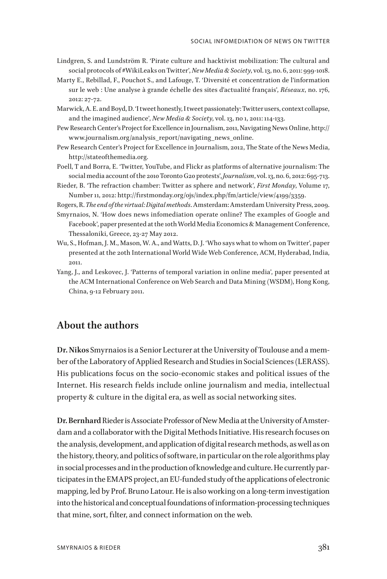- Lindgren, S. and Lundström R. 'Pirate culture and hacktivist mobilization: The cultural and social protocols of #WikiLeaks on Twitter', *New Media & Society*, vol. 13, no. 6, 2011: 999-1018.
- Marty E., Rebillad, F., Pouchot S., and Lafouge, T. 'Diversité et concentration de l'information sur le web : Une analyse à grande échelle des sites d'actualité français', *Réseaux*, no. 176, 2012: 27-72.
- Marwick, A. E. and Boyd, D. 'I tweet honestly, I tweet passionately: Twitter users, context collapse, and the imagined audience', *New Media & Society*, vol. 13, no 1, 2011: 114-133.
- Pew Research Center's Project for Excellence in Journalism, 2011, Navigating News Online, http:// www.journalism.org/analysis\_report/navigating\_news\_online.
- Pew Research Center's Project for Excellence in Journalism, 2012, The State of the News Media, http://stateofthemedia.org.
- Poell, T and Borra, E. 'Twitter, YouTube, and Flickr as platforms of alternative journalism: The social media account of the 2010 Toronto G20 protests', *Journalism*, vol. 13, no. 6, 2012: 695-713.
- Rieder, B. 'The refraction chamber: Twitter as sphere and network', *First Monday*, Volume 17, Number 11, 2012: http://firstmonday.org/ojs/index.php/fm/article/view/4199/3359.

Rogers, R. *The end of the virtual: Digital methods*. Amsterdam: Amsterdam University Press, 2009.

Smyrnaios, N. 'How does news infomediation operate online? The examples of Google and Facebook', paper presented at the 10th World Media Economics & Management Conference, Thessaloniki, Greece, 23-27 May 2012.

- Wu, S., Hofman, J. M., Mason, W. A., and Watts, D. J. 'Who says what to whom on Twitter', paper presented at the 20th International World Wide Web Conference, ACM, Hyderabad, India, 2011.
- Yang, J., and Leskovec, J. 'Patterns of temporal variation in online media', paper presented at the ACM International Conference on Web Search and Data Mining (WSDM), Hong Kong, China, 9-12 February 2011.

### **About the authors**

**Dr. Nikos** Smyrnaios is a Senior Lecturer at the University of Toulouse and a member of the Laboratory of Applied Research and Studies in Social Sciences (LERASS). His publications focus on the socio-economic stakes and political issues of the Internet. His research fields include online journalism and media, intellectual property & culture in the digital era, as well as social networking sites.

**Dr. Bernhard** Rieder is Associate Professor of New Media at the University of Amsterdam and a collaborator with the Digital Methods Initiative. His research focuses on the analysis, development, and application of digital research methods, as well as on the history, theory, and politics of software, in particular on the role algorithms play in social processes and in the production of knowledge and culture. He currently participates in the EMAPS project, an EU-funded study of the applications of electronic mapping, led by Prof. Bruno Latour. He is also working on a long-term investigation into the historical and conceptual foundations of information-processing techniques that mine, sort, filter, and connect information on the web.